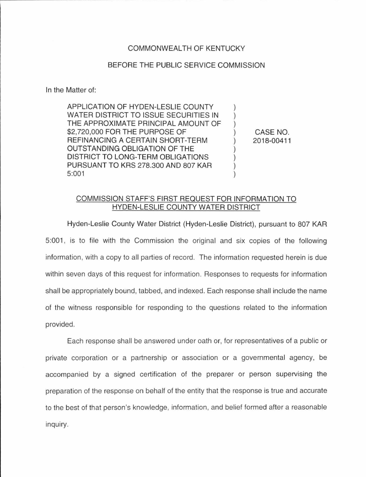## COMMONWEALTH OF KENTUCKY

## BEFORE THE PUBLIC SERVICE COMMISSION

In the Matter of:

APPLICATION OF HYDEN-LESLIE COUNTY  $\mathcal{L}$ WATER DISTRICT TO ISSUE SECURITIES IN  $\mathcal{L}$ THE APPROXIMATE PRINCIPAL AMOUNT OF \$2,720,000 FOR THE PURPOSE OF REFINANCING A CERTAIN SHORT-TERM OUTSTANDING OBLIGATION OF THE DISTRICT TO LONG-TERM OBLIGATIONS PURSUANT TO KRS 278.300 AND 807 KAR 5:001

CASE NO. 2018-0041 1

## COMMISSION STAFF'S FIRST REQUEST FOR INFORMATION TO HYDEN-LESLIE COUNTY WATER DISTRICT

Hyden-Leslie County Water District (Hyden-Leslie District), pursuant to 807 KAR 5:001 , is to file with the Commission the original and six copies of the following information, with a copy to all parties of record. The information requested herein is due within seven days of this request for information. Responses to requests for information shall be appropriately bound, tabbed, and indexed. Each response shall include the name of the witness responsible for responding to the questions related to the information provided.

Each response shall be answered under oath or, for representatives of a public or private corporation or a partnership or association or a governmental agency, be accompanied by a signed certification of the preparer or person supervising the preparation of the response on behalf of the entity that the response is true and accurate to the best of that person's knowledge, information, and belief formed after a reasonable inquiry.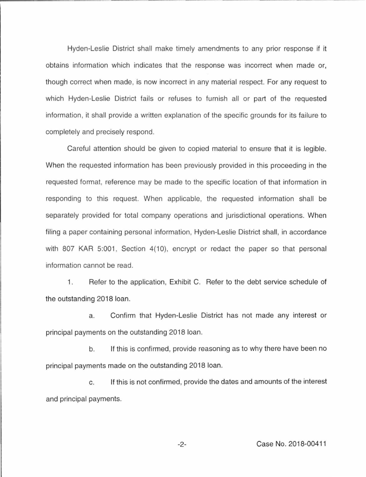Hyden-Leslie District shall make timely amendments to any prior response if it obtains information which indicates that the response was incorrect when made or, though correct when made, is now incorrect in any material respect. For any request to which Hyden-Leslie District fails or refuses to furnish all or part of the requested information, it shall provide a written explanation of the specific grounds for its failure to completely and precisely respond.

Careful attention should be given to copied material to ensure that it is legible. When the requested information has been previously provided in this proceeding in the requested format, reference may be made to the specific location of that information in responding to this request. When applicable, the requested information shall be separately provided for total company operations and jurisdictional operations. When filing a paper containing personal information, Hyden-Leslie District shall, in accordance with 807 KAR 5:001, Section 4(10), encrypt or redact the paper so that personal information cannot be read.

1. Refer to the application, Exhibit C. Refer to the debt service schedule of the outstanding 2018 loan.

a. Confirm that Hyden-Leslie District has not made any interest or principal payments on the outstanding 2018 loan.

b. If this is confirmed, provide reasoning as to why there have been no principal payments made on the outstanding 2018 loan.

c. If this is not confirmed, provide the dates and amounts of the interest and principal payments.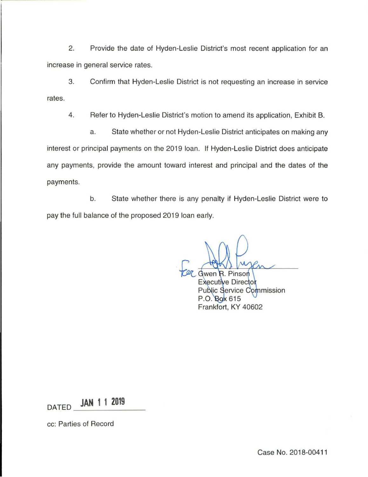2. Provide the date of Hyden-Leslie District's most recent application for an increase in general service rates.

3. Confirm that Hyden-Leslie District is not requesting an increase in service rates.

4. Refer to Hyden-Leslie District's motion to amend its application, Exhibit B.

a. State whether or not Hyden-Leslie District anticipates on making any interest or principal payments on the 2019 loan. If Hyden-Leslie District does anticipate any payments, provide the amount toward interest and principal and the dates of the payments.

b. State whether there is any penalty if Hyden-Leslie District were to pay the full balance of the proposed 2019 loan early.

Pinson Gwen Executive Director **Public Service Commission** P.O. Box 615 Frankfort, KY 40602

DATED **JAN 1 1 2019** 

cc: Parties of Record